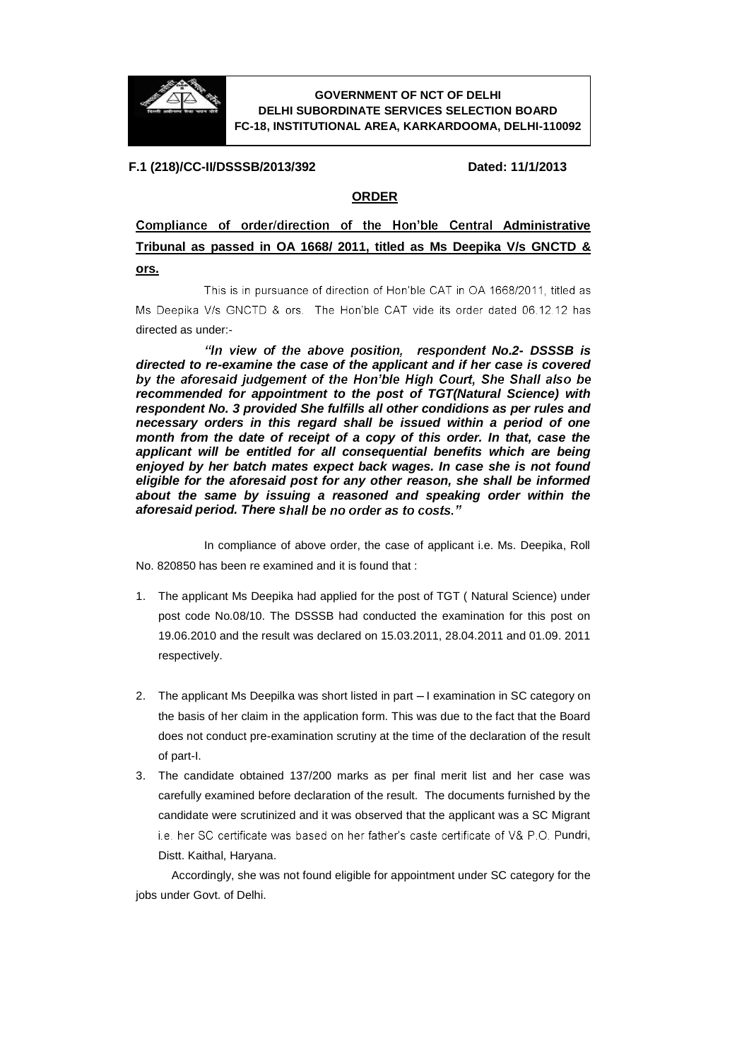

## **GOVERNMENT OF NCT OF DELHI DELHI SUBORDINATE SERVICES SELECTION BOARD FC-18, INSTITUTIONAL AREA, KARKARDOOMA, DELHI-110092**

## **F.1 (218)/CC-II/DSSSB/2013/392 Dated: 11/1/2013**

## **ORDER**

Compliance of order/direction of the Hon'ble Central Administrative **Tribunal as passed in OA 1668/ 2011, titled as Ms Deepika V/s GNCTD & ors.**

This is in pursuance of direction of Hon'ble CAT in OA 1668/2011, titled as Ms Deepika V/s GNCTD & ors. The Hon'ble CAT vide its order dated 06.12.12 has directed as under:-

"In view of the above position, respondent No.2- DSSSB is *directed to re-examine the case of the applicant and if her case is covered recommended for appointment to the post of TGT(Natural Science) with respondent No. 3 provided She fulfills all other condidions as per rules and necessary orders in this regard shall be issued within a period of one month from the date of receipt of a copy of this order. In that, case the applicant will be entitled for all consequential benefits which are being enjoyed by her batch mates expect back wages. In case she is not found eligible for the aforesaid post for any other reason, she shall be informed about the same by issuing a reasoned and speaking order within the aforesaid period. There s*

In compliance of above order, the case of applicant i.e. Ms. Deepika, Roll No. 820850 has been re examined and it is found that :

- 1. The applicant Ms Deepika had applied for the post of TGT ( Natural Science) under post code No.08/10. The DSSSB had conducted the examination for this post on 19.06.2010 and the result was declared on 15.03.2011, 28.04.2011 and 01.09. 2011 respectively.
- 2. The applicant Ms Deepilka was short listed in part I examination in SC category on the basis of her claim in the application form. This was due to the fact that the Board does not conduct pre-examination scrutiny at the time of the declaration of the result of part-I.
- 3. The candidate obtained 137/200 marks as per final merit list and her case was carefully examined before declaration of the result. The documents furnished by the candidate were scrutinized and it was observed that the applicant was a SC Migrant i.e. her SC certificate was based on her father's caste certificate of V& P.O. Pundri, Distt. Kaithal, Haryana.

 Accordingly, she was not found eligible for appointment under SC category for the jobs under Govt. of Delhi.